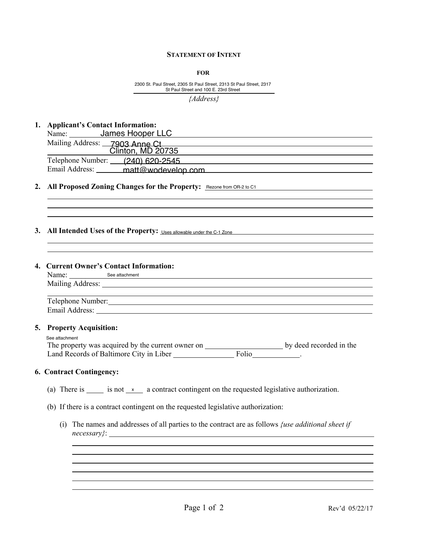#### **STATEMENT OF INTENT**

**FOR**

 $\overline{a}$ 2300 St. Paul Street, 2305 St Paul Street, 2313 St Paul Street, 2317

#### **1. Applicant's Contact Information:**

| St Paul Street and 100 E. 23rd Street                                   |
|-------------------------------------------------------------------------|
| ${Address}$                                                             |
| 1. Applicant's Contact Information:                                     |
| Name: James Hooper LLC<br>Mailing Address: 7903 Anne Ct                 |
| Clinton, MD 20735<br>Telephone Number: (240) 620-2545                   |
| Email Address: ______ matt@wodevelop.com                                |
| 2. All Proposed Zoning Changes for the Property: Rezone from OR-2 to C1 |
|                                                                         |
| 3. All Intended Uses of the Property: Uses allowable under the C-1 Zone |

# **2. All Proposed Zoning Changes for the Property:**

# **3.** All Intended Uses of the Property: Uses allowable under the C-1 Zone

### **4. Current Owner's Contact Information:**

| Name: See attachment                                                                                                                                                                                                           |                     |
|--------------------------------------------------------------------------------------------------------------------------------------------------------------------------------------------------------------------------------|---------------------|
| Mailing Address: National Address: National Address: National Address: National Address: National Address: National Address: National Address: National Address: National Address: National Address: National Address: Nationa |                     |
|                                                                                                                                                                                                                                |                     |
| Telephone Number: 1988 and 1988 and 1988 and 1988 and 1988 and 1988 and 1988 and 1988 and 1988 and 1988 and 1988 and 1988 and 1988 and 1988 and 1988 and 1988 and 1988 and 1988 and 1988 and 1988 and 1988 and 1988 and 1988 a |                     |
|                                                                                                                                                                                                                                |                     |
|                                                                                                                                                                                                                                |                     |
| 5. Property Acquisition:                                                                                                                                                                                                       |                     |
| See attachment                                                                                                                                                                                                                 |                     |
|                                                                                                                                                                                                                                |                     |
| Land Records of Baltimore City in Liber                                                                                                                                                                                        | Folio ____________. |
|                                                                                                                                                                                                                                |                     |
| <b>6. Contract Contingency:</b>                                                                                                                                                                                                |                     |
|                                                                                                                                                                                                                                |                     |
| is not x a contract contingent on the requested legislative authorization.<br>(a) There is                                                                                                                                     |                     |

# The property was acquired by the current owner on **by deed recorded** in the Land Records of Baltimore City in Liber \_\_\_\_\_\_\_\_\_\_\_\_\_\_\_\_\_\_\_\_\_\_\_\_\_\_\_\_\_\_\_\_\_\_.

# **6. Contract Contingency:**

 $\overline{a}$ 

- (a) There is is not  $\alpha$  a contract contingent on the requested legislative authorization.
- (b) If there is a contract contingent on the requested legislative authorization:
	- (i) The names and addresses of all parties to the contract are as follows *{use additional sheet if necessary}*:

l l

l l